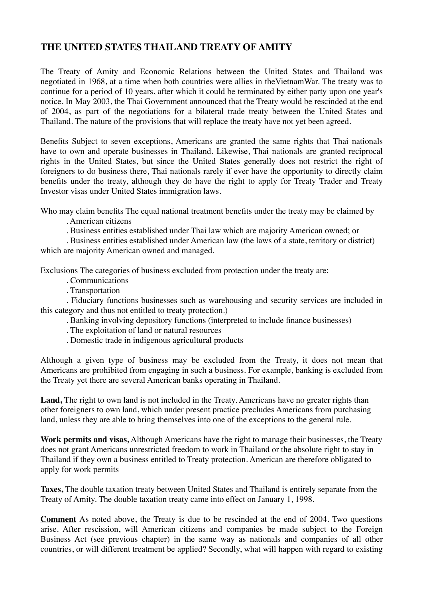## **THE UNITED STATES THAILAND TREATY OF AMITY**

The Treaty of Amity and Economic Relations between the United States and Thailand was negotiated in 1968, at a time when both countries were allies in theVietnamWar. The treaty was to continue for a period of 10 years, after which it could be terminated by either party upon one year's notice. In May 2003, the Thai Government announced that the Treaty would be rescinded at the end of 2004, as part of the negotiations for a bilateral trade treaty between the United States and Thailand. The nature of the provisions that will replace the treaty have not yet been agreed.

Benefits Subject to seven exceptions, Americans are granted the same rights that Thai nationals have to own and operate businesses in Thailand. Likewise, Thai nationals are granted reciprocal rights in the United States, but since the United States generally does not restrict the right of foreigners to do business there, Thai nationals rarely if ever have the opportunity to directly claim benefits under the treaty, although they do have the right to apply for Treaty Trader and Treaty Investor visas under United States immigration laws.

Who may claim benefits The equal national treatment benefits under the treaty may be claimed by

. American citizens

. Business entities established under Thai law which are majority American owned; or

. Business entities established under American law (the laws of a state, territory or district) which are majority American owned and managed.

Exclusions The categories of business excluded from protection under the treaty are:

. Communications

. Transportation

. Fiduciary functions businesses such as warehousing and security services are included in this category and thus not entitled to treaty protection.)

. Banking involving depository functions (interpreted to include finance businesses)

. The exploitation of land or natural resources

. Domestic trade in indigenous agricultural products

Although a given type of business may be excluded from the Treaty, it does not mean that Americans are prohibited from engaging in such a business. For example, banking is excluded from the Treaty yet there are several American banks operating in Thailand.

Land, The right to own land is not included in the Treaty. Americans have no greater rights than other foreigners to own land, which under present practice precludes Americans from purchasing land, unless they are able to bring themselves into one of the exceptions to the general rule.

**Work permits and visas,** Although Americans have the right to manage their businesses, the Treaty does not grant Americans unrestricted freedom to work in Thailand or the absolute right to stay in Thailand if they own a business entitled to Treaty protection. American are therefore obligated to apply for work permits

**Taxes,** The double taxation treaty between United States and Thailand is entirely separate from the Treaty of Amity. The double taxation treaty came into effect on January 1, 1998.

**Comment** As noted above, the Treaty is due to be rescinded at the end of 2004. Two questions arise. After rescission, will American citizens and companies be made subject to the Foreign Business Act (see previous chapter) in the same way as nationals and companies of all other countries, or will different treatment be applied? Secondly, what will happen with regard to existing